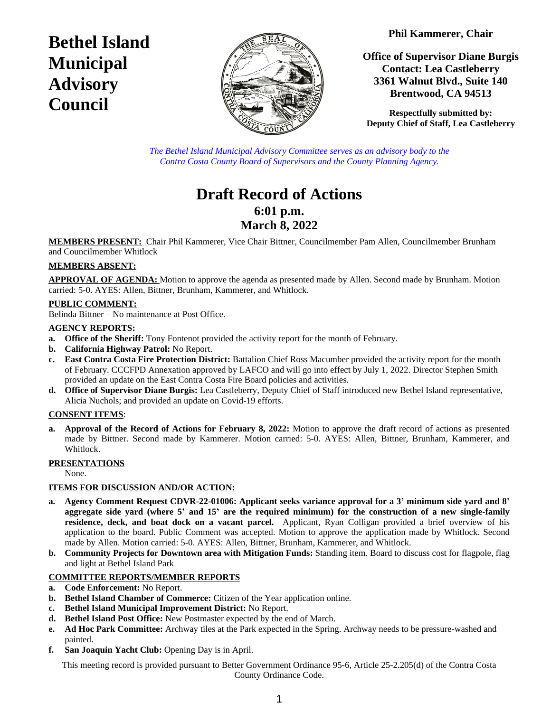**Phil Kammerer, Chair**

**Bethel Island Municipal Advisory Council**



**Office of Supervisor Diane Burgis Contact: Lea Castleberry 3361 Walnut Blvd., Suite 140 Brentwood, CA 94513**

**Respectfully submitted by: Deputy Chief of Staff, Lea Castleberry**

*The Bethel Island Municipal Advisory Committee serves as an advisory body to the Contra Costa County Board of Supervisors and the County Planning Agency.*

# **Draft Record of Actions 6:01 p.m. March 8, 2022**

**MEMBERS PRESENT:** Chair Phil Kammerer, Vice Chair Bittner, Councilmember Pam Allen, Councilmember Brunham and Councilmember Whitlock

# **MEMBERS ABSENT:**

**APPROVAL OF AGENDA:** Motion to approve the agenda as presented made by Allen. Second made by Brunham. Motion carried: 5-0. AYES: Allen, Bittner, Brunham, Kammerer, and Whitlock.

## **PUBLIC COMMENT:**

Belinda Bittner – No maintenance at Post Office.

#### **AGENCY REPORTS:**

- **a. Office of the Sheriff:** Tony Fontenot provided the activity report for the month of February.
- **b. California Highway Patrol:** No Report.
- **c. East Contra Costa Fire Protection District:** Battalion Chief Ross Macumber provided the activity report for the month of February. CCCFPD Annexation approved by LAFCO and will go into effect by July 1, 2022. Director Stephen Smith provided an update on the East Contra Costa Fire Board policies and activities.
- **d. Office of Supervisor Diane Burgis:** Lea Castleberry, Deputy Chief of Staff introduced new Bethel Island representative, Alicia Nuchols; and provided an update on Covid-19 efforts.

#### **CONSENT ITEMS**:

**a. Approval of the Record of Actions for February 8, 2022:** Motion to approve the draft record of actions as presented made by Bittner. Second made by Kammerer. Motion carried: 5-0. AYES: Allen, Bittner, Brunham, Kammerer, and Whitlock.

#### **PRESENTATIONS**

None.

#### **ITEMS FOR DISCUSSION AND/OR ACTION:**

- a. Agency Comment Request CDVR-22-01006: Applicant seeks variance approval for a 3' minimum side yard and 8' aggregate side yard (where 5' and 15' are the required minimum) for the construction of a new single-family **residence, deck, and boat dock on a vacant parcel.** Applicant, Ryan Colligan provided a brief overview of his application to the board. Public Comment was accepted. Motion to approve the application made by Whitlock. Second made by Allen. Motion carried: 5-0. AYES: Allen, Bittner, Brunham, Kammerer, and Whitlock.
- **b. Community Projects for Downtown area with Mitigation Funds:** Standing item. Board to discuss cost for flagpole, flag and light at Bethel Island Park

#### **COMMITTEE REPORTS/MEMBER REPORTS**

- **a. Code Enforcement:** No Report.
- **b. Bethel Island Chamber of Commerce:** Citizen of the Year application online.
- **c. Bethel Island Municipal Improvement District:** No Report.
- **d. Bethel Island Post Office:** New Postmaster expected by the end of March.
- **e. Ad Hoc Park Committee:** Archway tiles at the Park expected in the Spring. Archway needs to be pressure-washed and painted.
- **f. San Joaquin Yacht Club:** Opening Day is in April.

This meeting record is provided pursuant to Better Government Ordinance 95-6, Article 25-2.205(d) of the Contra Costa County Ordinance Code.